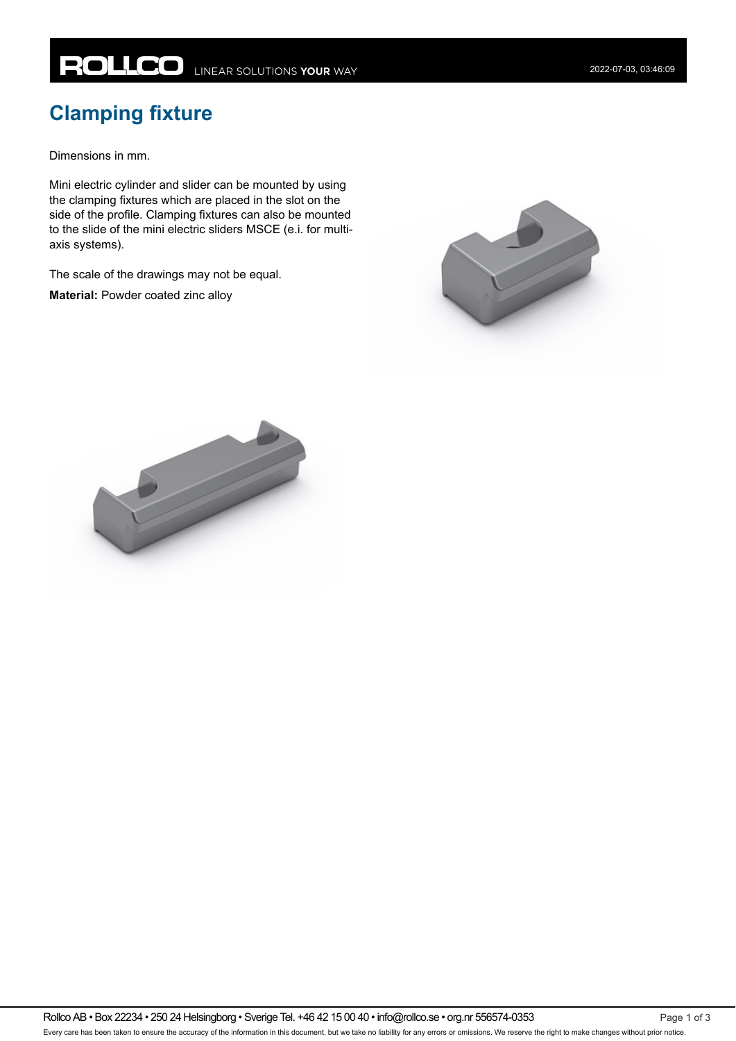## **ROLLCO** LINEAR SOLUTIONS YOUR WAY

Dimensions in mm.

Mini electric cylinder and slider can be mounted by using the clamping fixtures which are placed in the slot on the side of the profile. Clamping fixtures can also be mounted to the slide of the mini electric sliders MSCE (e.i. for multiaxis systems).

The scale of the drawings may not be equal.

**Material:** Powder coated zinc alloy



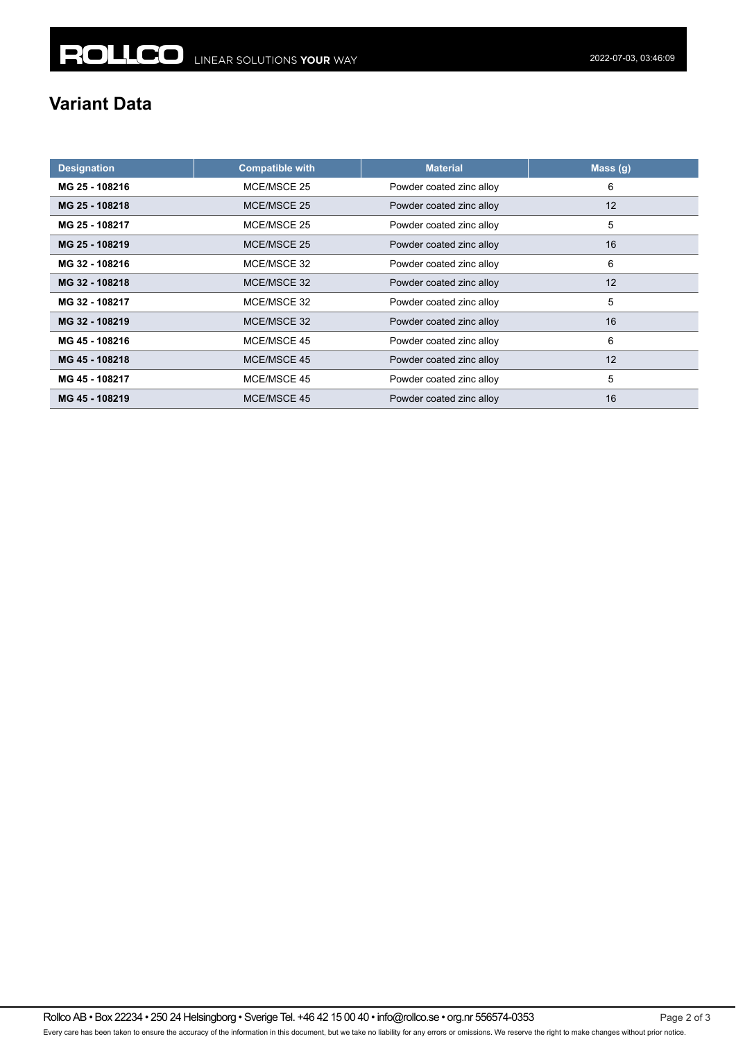## **Variant Data**

| <b>Designation</b> | <b>Compatible with</b> | <b>Material</b>          | Mass(g) |
|--------------------|------------------------|--------------------------|---------|
| MG 25 - 108216     | MCE/MSCE 25            | Powder coated zinc alloy | 6       |
| MG 25 - 108218     | MCE/MSCE 25            | Powder coated zinc alloy | 12      |
| MG 25 - 108217     | MCE/MSCE 25            | Powder coated zinc alloy | 5       |
| MG 25 - 108219     | MCE/MSCE 25            | Powder coated zinc alloy | 16      |
| MG 32 - 108216     | MCE/MSCE 32            | Powder coated zinc alloy | 6       |
| MG 32 - 108218     | MCE/MSCE 32            | Powder coated zinc alloy | 12      |
| MG 32 - 108217     | MCE/MSCE 32            | Powder coated zinc alloy | 5       |
| MG 32 - 108219     | MCE/MSCE 32            | Powder coated zinc alloy | 16      |
| MG 45 - 108216     | MCE/MSCE 45            | Powder coated zinc alloy | 6       |
| MG 45 - 108218     | MCE/MSCE 45            | Powder coated zinc alloy | 12      |
| MG 45 - 108217     | MCE/MSCE 45            | Powder coated zinc alloy | 5       |
| MG 45 - 108219     | MCE/MSCE 45            | Powder coated zinc alloy | 16      |